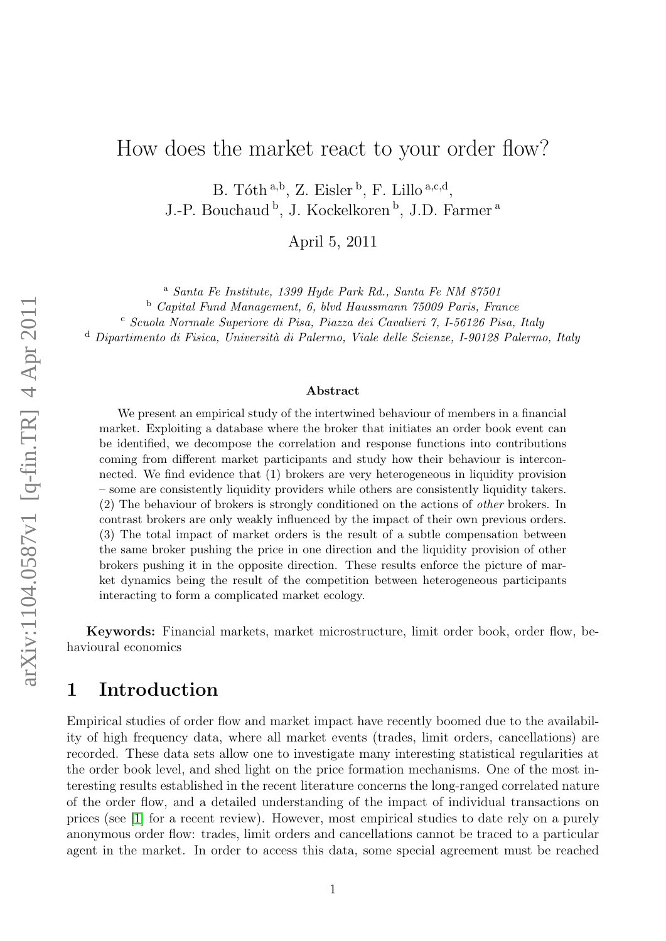## How does the market react to your order flow?

B. Tóth<sup>a,b</sup>, Z. Eisler<sup>b</sup>, F. Lillo<sup>a,c,d</sup>, J.-P. Bouchaud<sup>b</sup>, J. Kockelkoren<sup>b</sup>, J.D. Farmer<sup>a</sup>

April 5, 2011

<sup>a</sup> Santa Fe Institute, 1399 Hyde Park Rd., Santa Fe NM 87501

<sup>b</sup> Capital Fund Management, 6, blvd Haussmann 75009 Paris, France

<sup>c</sup> Scuola Normale Superiore di Pisa, Piazza dei Cavalieri 7, I-56126 Pisa, Italy

 $d$  Dipartimento di Fisica, Università di Palermo, Viale delle Scienze, I-90128 Palermo, Italy

#### Abstract

We present an empirical study of the intertwined behaviour of members in a financial market. Exploiting a database where the broker that initiates an order book event can be identified, we decompose the correlation and response functions into contributions coming from different market participants and study how their behaviour is interconnected. We find evidence that (1) brokers are very heterogeneous in liquidity provision – some are consistently liquidity providers while others are consistently liquidity takers. (2) The behaviour of brokers is strongly conditioned on the actions of other brokers. In contrast brokers are only weakly influenced by the impact of their own previous orders. (3) The total impact of market orders is the result of a subtle compensation between the same broker pushing the price in one direction and the liquidity provision of other brokers pushing it in the opposite direction. These results enforce the picture of market dynamics being the result of the competition between heterogeneous participants interacting to form a complicated market ecology.

Keywords: Financial markets, market microstructure, limit order book, order flow, behavioural economics

#### 1 Introduction

Empirical studies of order flow and market impact have recently boomed due to the availability of high frequency data, where all market events (trades, limit orders, cancellations) are recorded. These data sets allow one to investigate many interesting statistical regularities at the order book level, and shed light on the price formation mechanisms. One of the most interesting results established in the recent literature concerns the long-ranged correlated nature of the order flow, and a detailed understanding of the impact of individual transactions on prices (see [\[1\]](#page-10-0) for a recent review). However, most empirical studies to date rely on a purely anonymous order flow: trades, limit orders and cancellations cannot be traced to a particular agent in the market. In order to access this data, some special agreement must be reached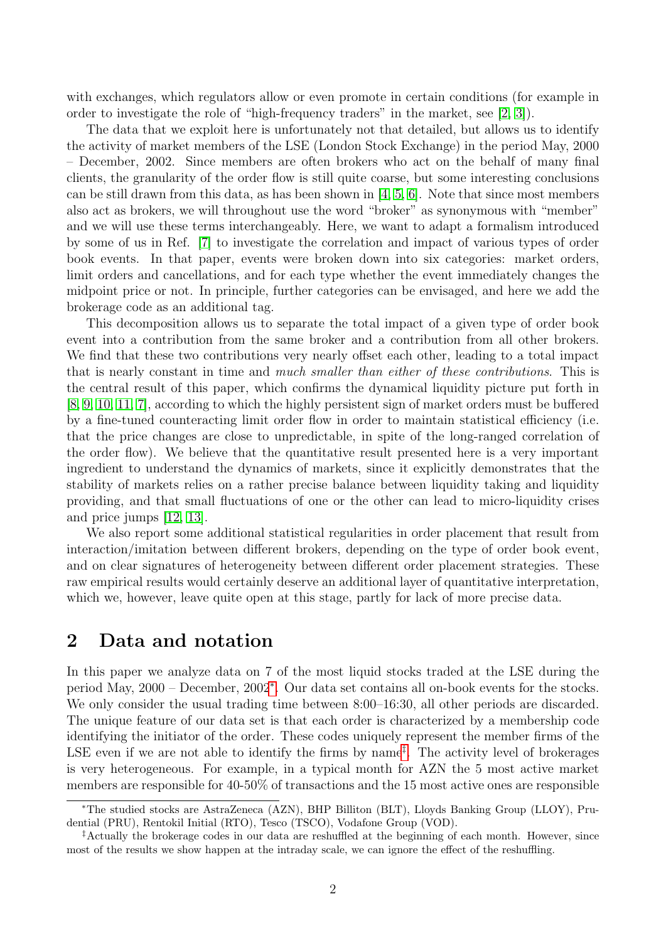with exchanges, which regulators allow or even promote in certain conditions (for example in order to investigate the role of "high-frequency traders" in the market, see [\[2,](#page-10-1) [3\]](#page-10-2)).

The data that we exploit here is unfortunately not that detailed, but allows us to identify the activity of market members of the LSE (London Stock Exchange) in the period May, 2000 – December, 2002. Since members are often brokers who act on the behalf of many final clients, the granularity of the order flow is still quite coarse, but some interesting conclusions can be still drawn from this data, as has been shown in [\[4,](#page-11-0) [5,](#page-11-1) [6\]](#page-11-2). Note that since most members also act as brokers, we will throughout use the word "broker" as synonymous with "member" and we will use these terms interchangeably. Here, we want to adapt a formalism introduced by some of us in Ref. [\[7\]](#page-11-3) to investigate the correlation and impact of various types of order book events. In that paper, events were broken down into six categories: market orders, limit orders and cancellations, and for each type whether the event immediately changes the midpoint price or not. In principle, further categories can be envisaged, and here we add the brokerage code as an additional tag.

This decomposition allows us to separate the total impact of a given type of order book event into a contribution from the same broker and a contribution from all other brokers. We find that these two contributions very nearly offset each other, leading to a total impact that is nearly constant in time and much smaller than either of these contributions. This is the central result of this paper, which confirms the dynamical liquidity picture put forth in [\[8,](#page-11-4) [9,](#page-11-5) [10,](#page-11-6) [11,](#page-11-7) [7\]](#page-11-3), according to which the highly persistent sign of market orders must be buffered by a fine-tuned counteracting limit order flow in order to maintain statistical efficiency (i.e. that the price changes are close to unpredictable, in spite of the long-ranged correlation of the order flow). We believe that the quantitative result presented here is a very important ingredient to understand the dynamics of markets, since it explicitly demonstrates that the stability of markets relies on a rather precise balance between liquidity taking and liquidity providing, and that small fluctuations of one or the other can lead to micro-liquidity crises and price jumps [\[12,](#page-11-8) [13\]](#page-11-9).

We also report some additional statistical regularities in order placement that result from interaction/imitation between different brokers, depending on the type of order book event, and on clear signatures of heterogeneity between different order placement strategies. These raw empirical results would certainly deserve an additional layer of quantitative interpretation, which we, however, leave quite open at this stage, partly for lack of more precise data.

#### 2 Data and notation

In this paper we analyze data on 7 of the most liquid stocks traded at the LSE during the period May, 2000 – December, 2002[∗](#page-1-0) . Our data set contains all on-book events for the stocks. We only consider the usual trading time between 8:00–16:30, all other periods are discarded. The unique feature of our data set is that each order is characterized by a membership code identifying the initiator of the order. These codes uniquely represent the member firms of the LSE even if we are not able to identify the firms by name<sup>[‡](#page-1-1)</sup>. The activity level of brokerages is very heterogeneous. For example, in a typical month for AZN the 5 most active market members are responsible for 40-50% of transactions and the 15 most active ones are responsible

<span id="page-1-0"></span><sup>∗</sup>The studied stocks are AstraZeneca (AZN), BHP Billiton (BLT), Lloyds Banking Group (LLOY), Prudential (PRU), Rentokil Initial (RTO), Tesco (TSCO), Vodafone Group (VOD).

<span id="page-1-1"></span><sup>‡</sup>Actually the brokerage codes in our data are reshuffled at the beginning of each month. However, since most of the results we show happen at the intraday scale, we can ignore the effect of the reshuffling.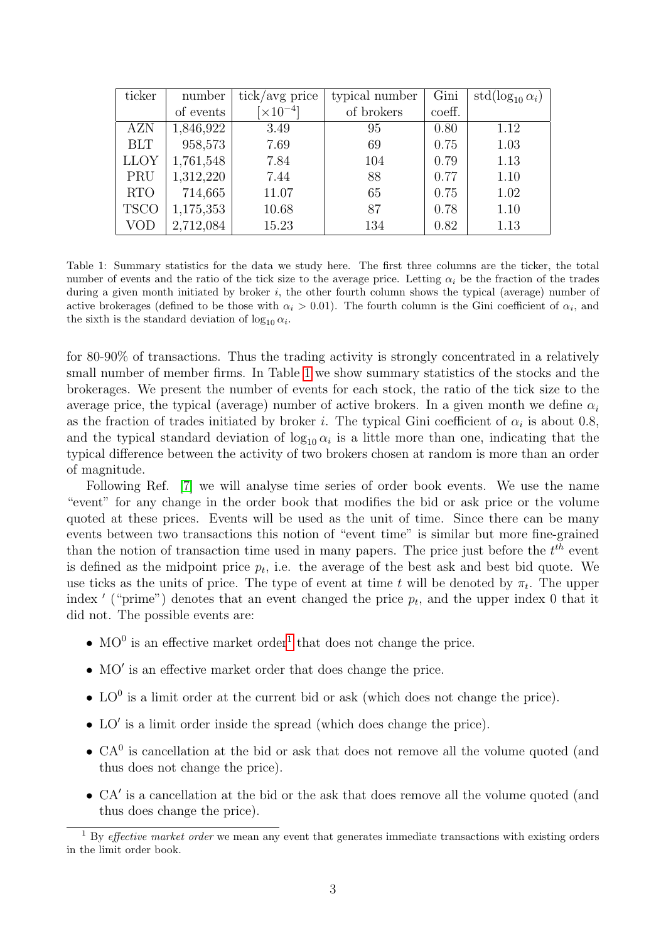| ticker      | number    | tick/avg price   | typical number | Gini   | $std(log_{10} \alpha_i)$ |
|-------------|-----------|------------------|----------------|--------|--------------------------|
|             | of events | $\times 10^{-4}$ | of brokers     | coeff. |                          |
| <b>AZN</b>  | 1,846,922 | 3.49             | 95             | 0.80   | 1.12                     |
| <b>BLT</b>  | 958,573   | 7.69             | 69             | 0.75   | 1.03                     |
| <b>LLOY</b> | 1,761,548 | 7.84             | 104            | 0.79   | 1.13                     |
| PRU         | 1,312,220 | 7.44             | 88             | 0.77   | 1.10                     |
| <b>RTO</b>  | 714,665   | 11.07            | 65             | 0.75   | 1.02                     |
| <b>TSCO</b> | 1,175,353 | 10.68            | 87             | 0.78   | 1.10                     |
| <b>VOD</b>  | 2,712,084 | 15.23            | 134            | 0.82   | 1.13                     |

<span id="page-2-0"></span>Table 1: Summary statistics for the data we study here. The first three columns are the ticker, the total number of events and the ratio of the tick size to the average price. Letting  $\alpha_i$  be the fraction of the trades during a given month initiated by broker  $i$ , the other fourth column shows the typical (average) number of active brokerages (defined to be those with  $\alpha_i > 0.01$ ). The fourth column is the Gini coefficient of  $\alpha_i$ , and the sixth is the standard deviation of  $\log_{10} \alpha_i$ .

for 80-90% of transactions. Thus the trading activity is strongly concentrated in a relatively small number of member firms. In Table [1](#page-2-0) we show summary statistics of the stocks and the brokerages. We present the number of events for each stock, the ratio of the tick size to the average price, the typical (average) number of active brokers. In a given month we define  $\alpha_i$ as the fraction of trades initiated by broker *i*. The typical Gini coefficient of  $\alpha_i$  is about 0.8, and the typical standard deviation of  $log_{10} \alpha_i$  is a little more than one, indicating that the typical difference between the activity of two brokers chosen at random is more than an order of magnitude.

Following Ref. [\[7\]](#page-11-3) we will analyse time series of order book events. We use the name "event" for any change in the order book that modifies the bid or ask price or the volume quoted at these prices. Events will be used as the unit of time. Since there can be many events between two transactions this notion of "event time" is similar but more fine-grained than the notion of transaction time used in many papers. The price just before the  $t^{th}$  event is defined as the midpoint price  $p_t$ , i.e. the average of the best ask and best bid quote. We use ticks as the units of price. The type of event at time t will be denoted by  $\pi_t$ . The upper index' ("prime") denotes that an event changed the price  $p_t$ , and the upper index 0 that it did not. The possible events are:

- $MO<sup>0</sup>$  is an effective market order<sup>[1](#page-2-1)</sup> that does not change the price.
- $\bullet$  MO' is an effective market order that does change the price.
- $LO^0$  is a limit order at the current bid or ask (which does not change the price).
- $\bullet$  LO' is a limit order inside the spread (which does change the price).
- $CA<sup>0</sup>$  is cancellation at the bid or ask that does not remove all the volume quoted (and thus does not change the price).
- $\bullet$  CA' is a cancellation at the bid or the ask that does remove all the volume quoted (and thus does change the price).

<span id="page-2-1"></span> $1$  By *effective market order* we mean any event that generates immediate transactions with existing orders in the limit order book.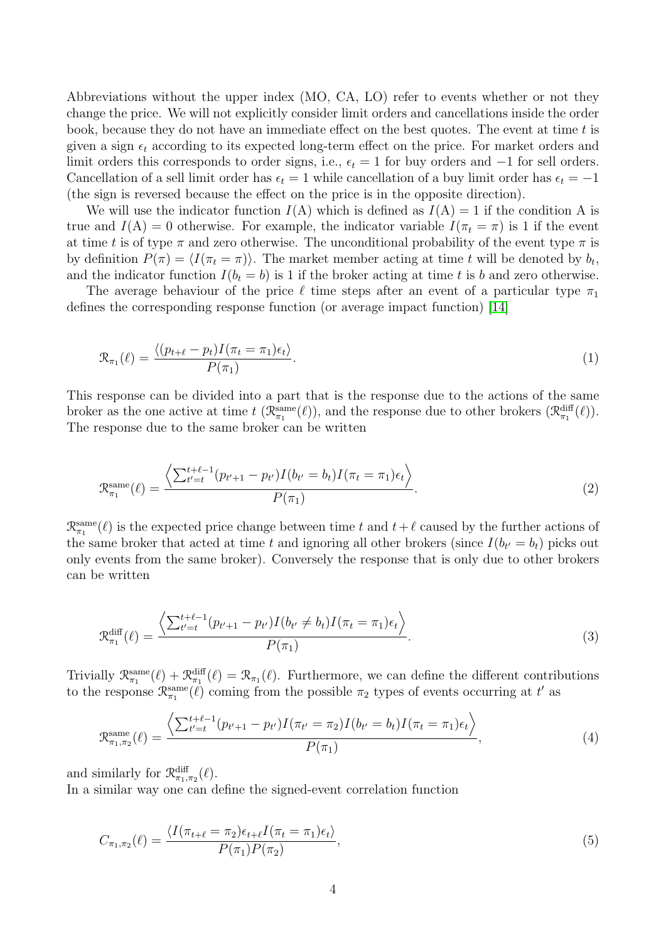Abbreviations without the upper index (MO, CA, LO) refer to events whether or not they change the price. We will not explicitly consider limit orders and cancellations inside the order book, because they do not have an immediate effect on the best quotes. The event at time  $t$  is given a sign  $\epsilon_t$  according to its expected long-term effect on the price. For market orders and limit orders this corresponds to order signs, i.e.,  $\epsilon_t = 1$  for buy orders and  $-1$  for sell orders. Cancellation of a sell limit order has  $\epsilon_t = 1$  while cancellation of a buy limit order has  $\epsilon_t = -1$ (the sign is reversed because the effect on the price is in the opposite direction).

We will use the indicator function  $I(A)$  which is defined as  $I(A) = 1$  if the condition A is true and  $I(A) = 0$  otherwise. For example, the indicator variable  $I(\pi_t = \pi)$  is 1 if the event at time t is of type  $\pi$  and zero otherwise. The unconditional probability of the event type  $\pi$  is by definition  $P(\pi) = \langle I(\pi_t = \pi) \rangle$ . The market member acting at time t will be denoted by  $b_t$ , and the indicator function  $I(b_t = b)$  is 1 if the broker acting at time t is b and zero otherwise.

The average behaviour of the price  $\ell$  time steps after an event of a particular type  $\pi_1$ defines the corresponding response function (or average impact function) [\[14\]](#page-11-10)

$$
\mathcal{R}_{\pi_1}(\ell) = \frac{\langle (p_{t+\ell} - p_t)I(\pi_t = \pi_1)\epsilon_t \rangle}{P(\pi_1)}.
$$
\n(1)

This response can be divided into a part that is the response due to the actions of the same broker as the one active at time  $t$  ( $\mathcal{R}_{\pi_1}^{\text{same}}(\ell)$ ), and the response due to other brokers ( $\mathcal{R}_{\pi_1}^{\text{diff}}(\ell)$ ). The response due to the same broker can be written

$$
\mathcal{R}_{\pi_1}^{\text{same}}(\ell) = \frac{\left\langle \sum_{t'=t}^{t+\ell-1} (p_{t'+1} - p_{t'}) I(b_{t'} = b_t) I(\pi_t = \pi_1) \epsilon_t \right\rangle}{P(\pi_1)}.
$$
\n(2)

 $\mathcal{R}_{\pi_1}^{\text{same}}(\ell)$  is the expected price change between time t and  $t+\ell$  caused by the further actions of the same broker that acted at time t and ignoring all other brokers (since  $I(b_{t'} = b_t)$  picks out only events from the same broker). Conversely the response that is only due to other brokers can be written

$$
\mathcal{R}_{\pi_1}^{\text{diff}}(\ell) = \frac{\left\langle \sum_{t'=t}^{t+\ell-1} (p_{t'+1} - p_{t'}) I(b_{t'} \neq b_t) I(\pi_t = \pi_1) \epsilon_t \right\rangle}{P(\pi_1)}.
$$
\n(3)

Trivially  $\mathcal{R}_{\pi_1}^{\text{same}}(\ell) + \mathcal{R}_{\pi_1}^{\text{diff}}(\ell) = \mathcal{R}_{\pi_1}(\ell)$ . Furthermore, we can define the different contributions to the response  $\mathcal{R}_{\pi_1}^{\text{same}}(\ell)$  coming from the possible  $\pi_2$  types of events occurring at  $t'$  as

$$
\mathcal{R}_{\pi_1, \pi_2}^{\text{same}}(\ell) = \frac{\left\langle \sum_{t'=t}^{t+\ell-1} (p_{t'+1} - p_{t'}) I(\pi_{t'} = \pi_2) I(b_{t'} = b_t) I(\pi_t = \pi_1) \epsilon_t \right\rangle}{P(\pi_1)},\tag{4}
$$

and similarly for  $\mathcal{R}_{\pi_1,\pi_2}^{\text{diff}}(\ell)$ .

In a similar way one can define the signed-event correlation function

$$
C_{\pi_1, \pi_2}(\ell) = \frac{\langle I(\pi_{t+\ell} = \pi_2)\epsilon_{t+\ell}I(\pi_t = \pi_1)\epsilon_t\rangle}{P(\pi_1)P(\pi_2)},
$$
\n
$$
(5)
$$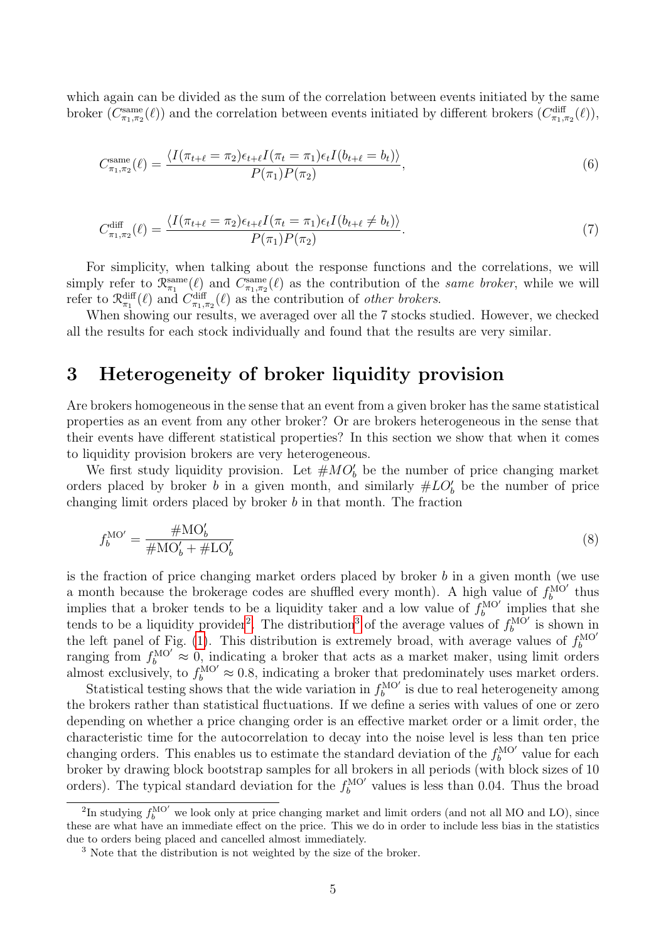which again can be divided as the sum of the correlation between events initiated by the same broker  $(C_{\pi_1,\pi_2}^{\text{same}}(\ell))$  and the correlation between events initiated by different brokers  $(C_{\pi_1,\pi_2}^{\text{diff}}(\ell)),$ 

$$
C_{\pi_1, \pi_2}^{\text{same}}(\ell) = \frac{\langle I(\pi_{t+\ell} = \pi_2)\epsilon_{t+\ell}I(\pi_t = \pi_1)\epsilon_t I(b_{t+\ell} = b_t)\rangle}{P(\pi_1)P(\pi_2)},
$$
\n(6)

$$
C_{\pi_1, \pi_2}^{\text{diff}}(\ell) = \frac{\langle I(\pi_{t+\ell} = \pi_2)\epsilon_{t+\ell}I(\pi_t = \pi_1)\epsilon_t I(b_{t+\ell} \neq b_t) \rangle}{P(\pi_1)P(\pi_2)}.
$$
\n(7)

For simplicity, when talking about the response functions and the correlations, we will simply refer to  $\mathcal{R}_{\pi_1}^{\text{same}}(\ell)$  and  $C_{\pi_1,\pi_2}^{\text{same}}(\ell)$  as the contribution of the same broker, while we will refer to  $\mathcal{R}_{\pi_1}^{\text{diff}}(\ell)$  and  $C_{\pi_1,\pi_2}^{\text{diff}}(\ell)$  as the contribution of *other brokers*.

When showing our results, we averaged over all the 7 stocks studied. However, we checked all the results for each stock individually and found that the results are very similar.

#### 3 Heterogeneity of broker liquidity provision

Are brokers homogeneous in the sense that an event from a given broker has the same statistical properties as an event from any other broker? Or are brokers heterogeneous in the sense that their events have different statistical properties? In this section we show that when it comes to liquidity provision brokers are very heterogeneous.

We first study liquidity provision. Let  $\#MO_{b}'$  be the number of price changing market orders placed by broker b in a given month, and similarly  $\# LO'_{b}$  be the number of price changing limit orders placed by broker b in that month. The fraction

<span id="page-4-2"></span>
$$
f_b^{\text{MO}'} = \frac{\# \text{MO}'_b}{\# \text{MO}'_b + \# \text{LO}'_b}
$$
(8)

is the fraction of price changing market orders placed by broker  $b$  in a given month (we use a month because the brokerage codes are shuffled every month). A high value of  $f_b^{\text{MO}'}$  thus implies that a broker tends to be a liquidity taker and a low value of  $f_b^{\text{MO}'}$  implies that she tends to be a liquidity provider<sup>[2](#page-4-0)</sup>. The distribution<sup>[3](#page-4-1)</sup> of the average values of  $f_b^{\text{MO}'}$  is shown in the left panel of Fig. [\(1\)](#page-5-0). This distribution is extremely broad, with average values of  $f_b^{\text{MO}}$ ranging from  $f_b^{\text{MO}'} \approx 0$ , indicating a broker that acts as a market maker, using limit orders almost exclusively, to  $f_b^{\text{MO}'} \approx 0.8$ , indicating a broker that predominately uses market orders.

Statistical testing shows that the wide variation in  $f_b^{\text{MO}'}$  is due to real heterogeneity among the brokers rather than statistical fluctuations. If we define a series with values of one or zero depending on whether a price changing order is an effective market order or a limit order, the characteristic time for the autocorrelation to decay into the noise level is less than ten price changing orders. This enables us to estimate the standard deviation of the  $f_b^{\text{MO}'}$  value for each broker by drawing block bootstrap samples for all brokers in all periods (with block sizes of 10 orders). The typical standard deviation for the  $f_b^{\text{MO}'}$  values is less than 0.04. Thus the broad

<span id="page-4-0"></span><sup>&</sup>lt;sup>2</sup>In studying  $f_b^{\text{MO}'}$  we look only at price changing market and limit orders (and not all MO and LO), since these are what have an immediate effect on the price. This we do in order to include less bias in the statistics due to orders being placed and cancelled almost immediately.

<span id="page-4-1"></span><sup>&</sup>lt;sup>3</sup> Note that the distribution is not weighted by the size of the broker.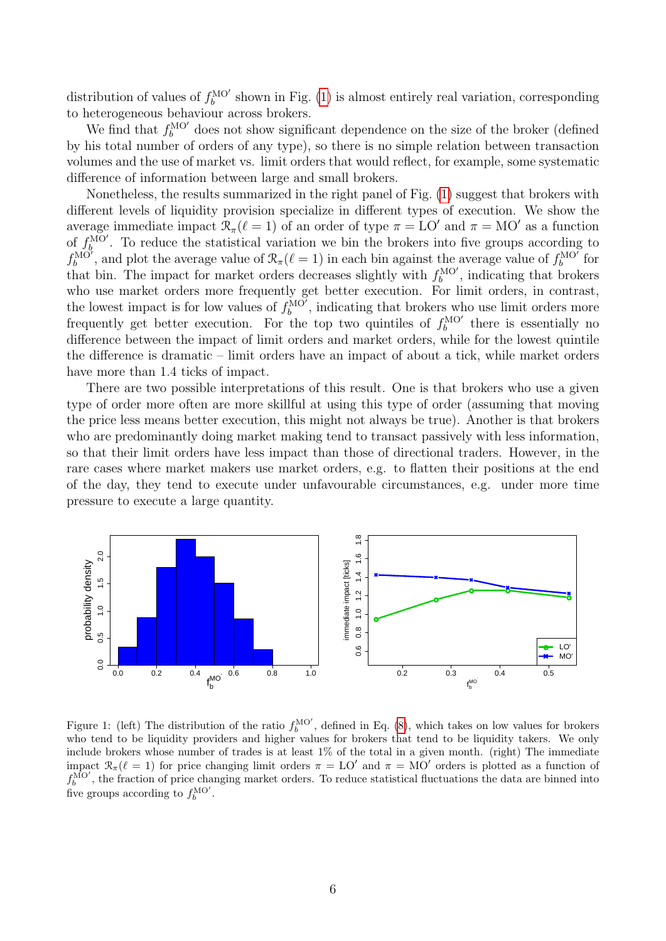distribution of values of  $f_b^{\text{MO}'}$  shown in Fig. [\(1\)](#page-5-0) is almost entirely real variation, corresponding to heterogeneous behaviour across brokers.

We find that  $f_b^{\text{MO}'}$  does not show significant dependence on the size of the broker (defined by his total number of orders of any type), so there is no simple relation between transaction volumes and the use of market vs. limit orders that would reflect, for example, some systematic difference of information between large and small brokers.

Nonetheless, the results summarized in the right panel of Fig. [\(1\)](#page-5-0) suggest that brokers with different levels of liquidity provision specialize in different types of execution. We show the average immediate impact  $\mathcal{R}_{\pi}(\ell = 1)$  of an order of type  $\pi = \text{LO}'$  and  $\pi = \text{MO}'$  as a function of  $f_b^{\text{MO}}$ . To reduce the statistical variation we bin the brokers into five groups according to  $f_b^{\text{MO}'}$ , and plot the average value of  $\mathcal{R}_{\pi}(\ell=1)$  in each bin against the average value of  $f_b^{\text{MO}'}$  for that bin. The impact for market orders decreases slightly with  $f_b^{\text{MO}'}$ , indicating that brokers who use market orders more frequently get better execution. For limit orders, in contrast, the lowest impact is for low values of  $f_b^{\text{MO}'}$ , indicating that brokers who use limit orders more frequently get better execution. For the top two quintiles of  $f_b^{\text{MO}'}$  there is essentially no difference between the impact of limit orders and market orders, while for the lowest quintile the difference is dramatic – limit orders have an impact of about a tick, while market orders have more than 1.4 ticks of impact.

There are two possible interpretations of this result. One is that brokers who use a given type of order more often are more skillful at using this type of order (assuming that moving the price less means better execution, this might not always be true). Another is that brokers who are predominantly doing market making tend to transact passively with less information, so that their limit orders have less impact than those of directional traders. However, in the rare cases where market makers use market orders, e.g. to flatten their positions at the end of the day, they tend to execute under unfavourable circumstances, e.g. under more time pressure to execute a large quantity.



<span id="page-5-0"></span>Figure 1: (left) The distribution of the ratio  $f_b^{\text{MO}'}$ , defined in Eq. [\(8\)](#page-4-2), which takes on low values for brokers who tend to be liquidity providers and higher values for brokers that tend to be liquidity takers. We only include brokers whose number of trades is at least 1% of the total in a given month. (right) The immediate impact  $\mathcal{R}_{\pi}(\ell = 1)$  for price changing limit orders  $\pi = LO'$  and  $\pi = MO'$  orders is plotted as a function of  $f_b^{\tilde{\text{MO}}'}$ , the fraction of price changing market orders. To reduce statistical fluctuations the data are binned into five groups according to  $f_b^{\text{MO}}$ .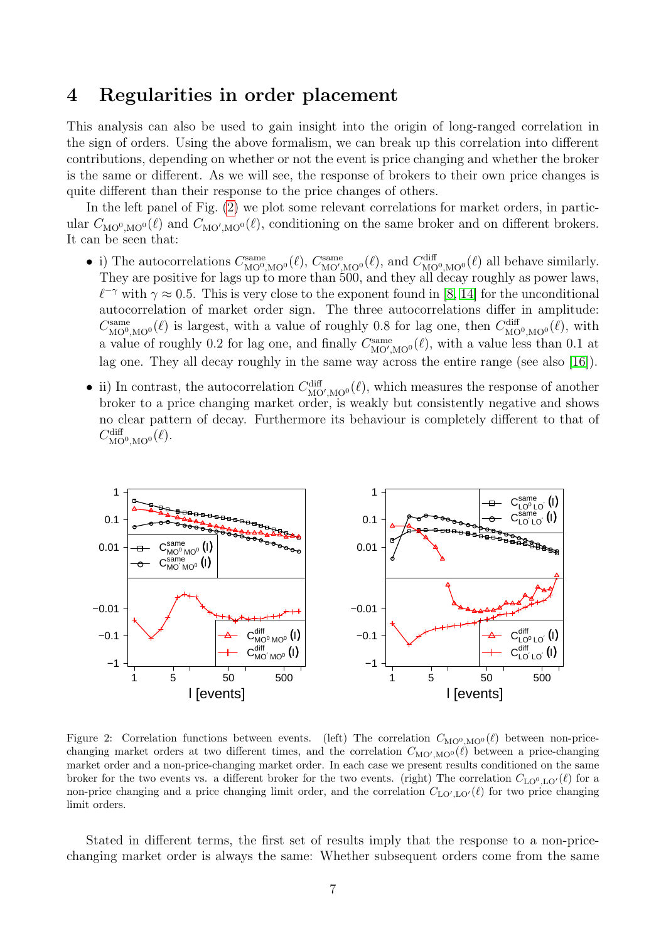#### 4 Regularities in order placement

This analysis can also be used to gain insight into the origin of long-ranged correlation in the sign of orders. Using the above formalism, we can break up this correlation into different contributions, depending on whether or not the event is price changing and whether the broker is the same or different. As we will see, the response of brokers to their own price changes is quite different than their response to the price changes of others.

In the left panel of Fig. [\(2\)](#page-6-0) we plot some relevant correlations for market orders, in particular  $C_{\text{MO}^0,\text{MO}^0}(\ell)$  and  $C_{\text{MO}'\text{,MO}^0}(\ell)$ , conditioning on the same broker and on different brokers. It can be seen that:

- i) The autocorrelations  $C_{\text{MO}^0,\text{MO}^0}^{\text{same}}(\ell)$ ,  $C_{\text{MO}',\text{MO}^0}^{\text{same}}(\ell)$ , and  $C_{\text{MO}^0,\text{MO}^0}^{\text{diff}}(\ell)$  all behave similarly. They are positive for lags up to more than 500, and they all decay roughly as power laws,  $\ell^{-\gamma}$  with  $\gamma \approx 0.5$ . This is very close to the exponent found in [\[8,](#page-11-4) [14\]](#page-11-10) for the unconditional autocorrelation of market order sign. The three autocorrelations differ in amplitude:  $C_{\text{MO}^0,\text{MO}^0}^{\text{same}}(\ell)$  is largest, with a value of roughly 0.8 for lag one, then  $C_{\text{MO}^0,\text{MO}^0}^{\text{diff}}(\ell)$ , with a value of roughly 0.2 for lag one, and finally  $C_{\text{MO}',\text{MO}}^{\text{same}}(\ell)$ , with a value less than 0.1 at lag one. They all decay roughly in the same way across the entire range (see also [\[16\]](#page-11-11)).
- ii) In contrast, the autocorrelation  $C_{\text{MO}',\text{MO}^0}^{\text{diff}}(\ell)$ , which measures the response of another broker to a price changing market order, is weakly but consistently negative and shows no clear pattern of decay. Furthermore its behaviour is completely different to that of  $C^{\text{diff}}_{\text{MO}^0,\text{MO}^0}(\ell).$



<span id="page-6-0"></span>Figure 2: Correlation functions between events. (left) The correlation  $C_{\text{MO}^0, \text{MO}^0}(\ell)$  between non-pricechanging market orders at two different times, and the correlation  $C_{\text{MO}',\text{MO}^0}(\ell)$  between a price-changing market order and a non-price-changing market order. In each case we present results conditioned on the same broker for the two events vs. a different broker for the two events. (right) The correlation  $C_{\text{LO}^0,\text{LO}'}(\ell)$  for a non-price changing and a price changing limit order, and the correlation  $C_{LO',LO'}(\ell)$  for two price changing limit orders.

Stated in different terms, the first set of results imply that the response to a non-pricechanging market order is always the same: Whether subsequent orders come from the same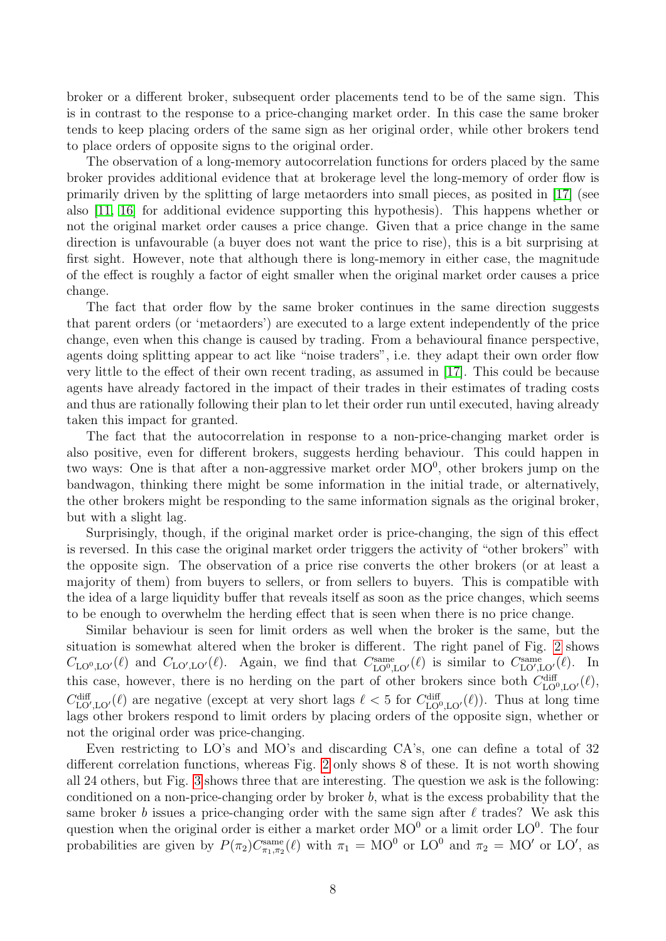broker or a different broker, subsequent order placements tend to be of the same sign. This is in contrast to the response to a price-changing market order. In this case the same broker tends to keep placing orders of the same sign as her original order, while other brokers tend to place orders of opposite signs to the original order.

The observation of a long-memory autocorrelation functions for orders placed by the same broker provides additional evidence that at brokerage level the long-memory of order flow is primarily driven by the splitting of large metaorders into small pieces, as posited in [\[17\]](#page-11-12) (see also [\[11,](#page-11-7) [16\]](#page-11-11) for additional evidence supporting this hypothesis). This happens whether or not the original market order causes a price change. Given that a price change in the same direction is unfavourable (a buyer does not want the price to rise), this is a bit surprising at first sight. However, note that although there is long-memory in either case, the magnitude of the effect is roughly a factor of eight smaller when the original market order causes a price change.

The fact that order flow by the same broker continues in the same direction suggests that parent orders (or 'metaorders') are executed to a large extent independently of the price change, even when this change is caused by trading. From a behavioural finance perspective, agents doing splitting appear to act like "noise traders", i.e. they adapt their own order flow very little to the effect of their own recent trading, as assumed in [\[17\]](#page-11-12). This could be because agents have already factored in the impact of their trades in their estimates of trading costs and thus are rationally following their plan to let their order run until executed, having already taken this impact for granted.

The fact that the autocorrelation in response to a non-price-changing market order is also positive, even for different brokers, suggests herding behaviour. This could happen in two ways: One is that after a non-aggressive market order  $MO<sup>0</sup>$ , other brokers jump on the bandwagon, thinking there might be some information in the initial trade, or alternatively, the other brokers might be responding to the same information signals as the original broker, but with a slight lag.

Surprisingly, though, if the original market order is price-changing, the sign of this effect is reversed. In this case the original market order triggers the activity of "other brokers" with the opposite sign. The observation of a price rise converts the other brokers (or at least a majority of them) from buyers to sellers, or from sellers to buyers. This is compatible with the idea of a large liquidity buffer that reveals itself as soon as the price changes, which seems to be enough to overwhelm the herding effect that is seen when there is no price change.

Similar behaviour is seen for limit orders as well when the broker is the same, but the situation is somewhat altered when the broker is different. The right panel of Fig. [2](#page-6-0) shows  $C_{\text{LO}^0,\text{LO}'}(\ell)$  and  $C_{\text{LO}',\text{LO}'}(\ell)$ . Again, we find that  $C_{\text{LO}^0,\text{LO}'}^{same}(\ell)$  is similar to  $C_{\text{LO}',\text{LO}'}^{same}(\ell)$ . In this case, however, there is no herding on the part of other brokers since both  $C_{LO^0,LO'}^{\text{diff}}(\ell)$ ,  $C_{\text{LO}',\text{LO}'}^{\text{diff}}(\ell)$  are negative (except at very short lags  $\ell < 5$  for  $C_{\text{LO}^0,\text{LO}'}^{\text{diff}}(\ell)$ ). Thus at long time lags other brokers respond to limit orders by placing orders of the opposite sign, whether or not the original order was price-changing.

Even restricting to LO's and MO's and discarding CA's, one can define a total of 32 different correlation functions, whereas Fig. [2](#page-6-0) only shows 8 of these. It is not worth showing all 24 others, but Fig. [3](#page-8-0) shows three that are interesting. The question we ask is the following: conditioned on a non-price-changing order by broker b, what is the excess probability that the same broker b issues a price-changing order with the same sign after  $\ell$  trades? We ask this question when the original order is either a market order  $MO^0$  or a limit order  $LO^0$ . The four probabilities are given by  $P(\pi_2)C^{\text{same}}_{\pi_1,\pi_2}(\ell)$  with  $\pi_1 = \text{MO}^0$  or  $\text{LO}^0$  and  $\pi_2 = \text{MO}'$  or  $\text{LO}'$ , as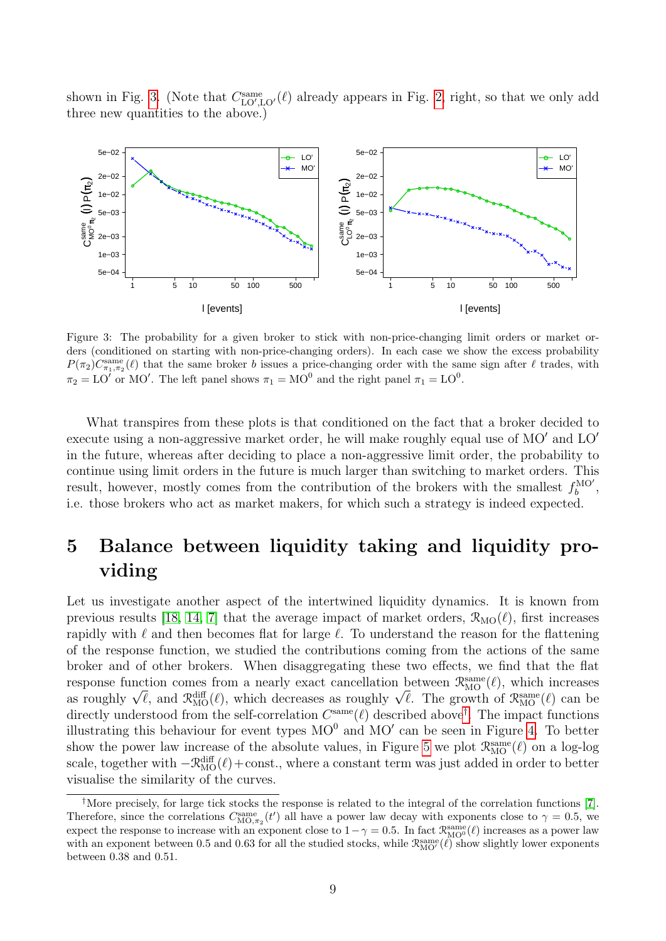shown in Fig. [3.](#page-8-0) (Note that  $C_{LO',LO'}^{same}(\ell)$  already appears in Fig. [2,](#page-6-0) right, so that we only add three new quantities to the above.)



<span id="page-8-0"></span>Figure 3: The probability for a given broker to stick with non-price-changing limit orders or market orders (conditioned on starting with non-price-changing orders). In each case we show the excess probability  $P(\pi_2)C^{\text{same}}_{\pi_1,\pi_2}(\ell)$  that the same broker b issues a price-changing order with the same sign after  $\ell$  trades, with  $\pi_2 = \text{LO}'$  or MO'. The left panel shows  $\pi_1 = \text{MO}^0$  and the right panel  $\pi_1 = \text{LO}^0$ .

What transpires from these plots is that conditioned on the fact that a broker decided to execute using a non-aggressive market order, he will make roughly equal use of  $MO'$  and  $LO'$ in the future, whereas after deciding to place a non-aggressive limit order, the probability to continue using limit orders in the future is much larger than switching to market orders. This result, however, mostly comes from the contribution of the brokers with the smallest  $f_b^{\text{MO}'},$ i.e. those brokers who act as market makers, for which such a strategy is indeed expected.

# 5 Balance between liquidity taking and liquidity providing

Let us investigate another aspect of the intertwined liquidity dynamics. It is known from previous results [\[18,](#page-11-13) [14,](#page-11-10) [7\]](#page-11-3) that the average impact of market orders,  $\mathcal{R}_{MO}(\ell)$ , first increases rapidly with  $\ell$  and then becomes flat for large  $\ell$ . To understand the reason for the flattening of the response function, we studied the contributions coming from the actions of the same broker and of other brokers. When disaggregating these two effects, we find that the flat response function comes from a nearly exact cancellation between  $\mathcal{R}_{\text{MO}}^{\text{same}}(\ell)$ , which increases response function comes from a nearly exact cancellation between  $\mathcal{R}_{\text{MO}}^{\text{max}}(\ell)$ , which increases as roughly  $\sqrt{\ell}$ . The growth of  $\mathcal{R}_{\text{MO}}^{\text{same}}(\ell)$  can be directly understood from the self-correlation  $C^{\text{same}}(\ell)$  described above<sup>[†](#page-8-1)</sup>. The impact functions illustrating this behaviour for event types  $MO<sup>0</sup>$  and  $MO'$  can be seen in Figure [4.](#page-9-0) To better show the power law increase of the absolute values, in Figure [5](#page-10-3) we plot  $\mathcal{R}_{\text{MO}}^{\text{same}}(\ell)$  on a log-log scale, together with  $-\mathcal{R}_{\text{MO}}^{\text{diff}}(\ell) + \text{const.}$ , where a constant term was just added in order to better visualise the similarity of the curves.

<span id="page-8-1"></span><sup>†</sup>More precisely, for large tick stocks the response is related to the integral of the correlation functions [\[7\]](#page-11-3). Therefore, since the correlations  $C_{\text{MO},\pi_2}^{\text{same}}(t')$  all have a power law decay with exponents close to  $\gamma=0.5$ , we expect the response to increase with an exponent close to  $1 - \gamma = 0.5$ . In fact  $\mathcal{R}_{\text{MO}}^{\text{same}}(\ell)$  increases as a power law with an exponent between 0.5 and 0.63 for all the studied stocks, while  $\mathcal{R}_{\text{MO}}^{\text{same}}(\ell)$  show slightly lower exponents between 0.38 and 0.51.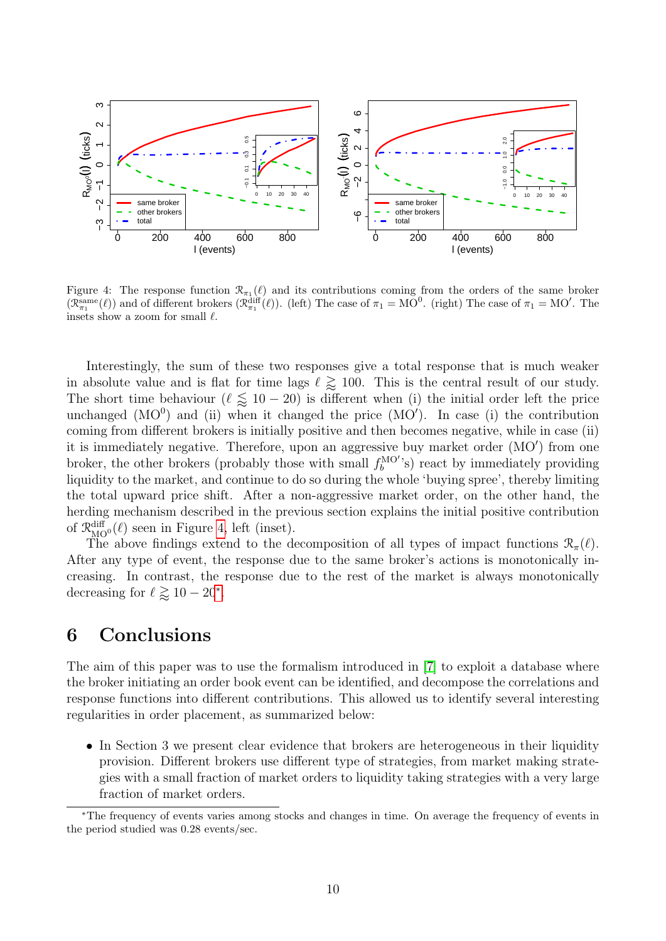

<span id="page-9-0"></span>Figure 4: The response function  $\mathcal{R}_{\pi_1}(\ell)$  and its contributions coming from the orders of the same broker  $(\mathcal{R}_{\pi_1}^{\text{same}}(\ell))$  and of different brokers  $(\mathcal{R}_{\pi_1}^{\text{diff}}(\ell))$ . (left) The case of  $\pi_1 = \text{MO}^0$ . (right) The case of  $\pi_1 = \text{MO}'$ . The insets show a zoom for small  $\ell$ .

Interestingly, the sum of these two responses give a total response that is much weaker in absolute value and is flat for time lags  $\ell \gtrsim 100$ . This is the central result of our study. The short time behaviour ( $\ell \leq 10 - 20$ ) is different when (i) the initial order left the price unchanged  $(MO^0)$  and (ii) when it changed the price  $(MO')$ . In case (i) the contribution coming from different brokers is initially positive and then becomes negative, while in case (ii) it is immediately negative. Therefore, upon an aggressive buy market order (MO') from one broker, the other brokers (probably those with small  $f_b^{\text{MO}'}$ s) react by immediately providing liquidity to the market, and continue to do so during the whole 'buying spree', thereby limiting the total upward price shift. After a non-aggressive market order, on the other hand, the herding mechanism described in the previous section explains the initial positive contribution of  $\mathcal{R}_{\text{MO}}^{\text{diff}}(\ell)$  seen in Figure [4,](#page-9-0) left (inset).

The above findings extend to the decomposition of all types of impact functions  $\mathcal{R}_{\pi}(\ell)$ . After any type of event, the response due to the same broker's actions is monotonically increasing. In contrast, the response due to the rest of the market is always monotonically decreasing for  $\ell \gtrapprox 10 - 20^*$ .

#### 6 Conclusions

The aim of this paper was to use the formalism introduced in [\[7\]](#page-11-3) to exploit a database where the broker initiating an order book event can be identified, and decompose the correlations and response functions into different contributions. This allowed us to identify several interesting regularities in order placement, as summarized below:

• In Section 3 we present clear evidence that brokers are heterogeneous in their liquidity provision. Different brokers use different type of strategies, from market making strategies with a small fraction of market orders to liquidity taking strategies with a very large fraction of market orders.

<span id="page-9-1"></span><sup>∗</sup>The frequency of events varies among stocks and changes in time. On average the frequency of events in the period studied was 0.28 events/sec.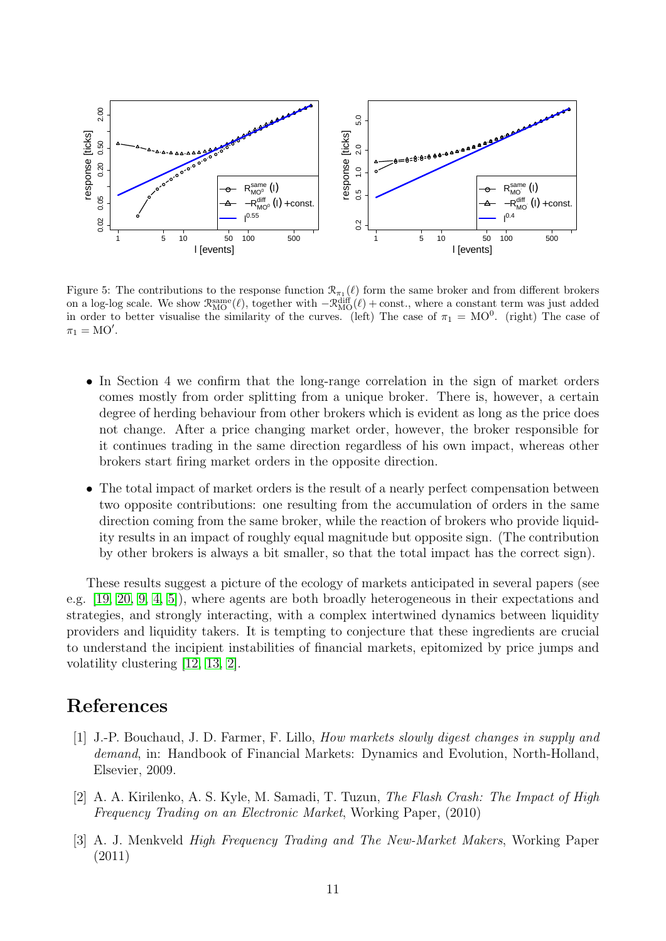

<span id="page-10-3"></span>Figure 5: The contributions to the response function  $\mathcal{R}_{\pi_1}(\ell)$  form the same broker and from different brokers on a log-log scale. We show  $\mathcal{R}_{\text{MO}}^{\text{same}}(\ell)$ , together with  $-\mathcal{R}_{\text{MO}}^{\text{diff}}(\ell)$  + const., where a constant term was just added in order to better visualise the similarity of the curves. (left) The case of  $\pi_1 = \text{MO}^0$ . (right) The case of  $\pi_1 = \text{MO}'.$ 

- In Section 4 we confirm that the long-range correlation in the sign of market orders comes mostly from order splitting from a unique broker. There is, however, a certain degree of herding behaviour from other brokers which is evident as long as the price does not change. After a price changing market order, however, the broker responsible for it continues trading in the same direction regardless of his own impact, whereas other brokers start firing market orders in the opposite direction.
- The total impact of market orders is the result of a nearly perfect compensation between two opposite contributions: one resulting from the accumulation of orders in the same direction coming from the same broker, while the reaction of brokers who provide liquidity results in an impact of roughly equal magnitude but opposite sign. (The contribution by other brokers is always a bit smaller, so that the total impact has the correct sign).

These results suggest a picture of the ecology of markets anticipated in several papers (see e.g. [\[19,](#page-11-14) [20,](#page-11-15) [9,](#page-11-5) [4,](#page-11-0) [5\]](#page-11-1)), where agents are both broadly heterogeneous in their expectations and strategies, and strongly interacting, with a complex intertwined dynamics between liquidity providers and liquidity takers. It is tempting to conjecture that these ingredients are crucial to understand the incipient instabilities of financial markets, epitomized by price jumps and volatility clustering [\[12,](#page-11-8) [13,](#page-11-9) [2\]](#page-10-1).

### References

- <span id="page-10-0"></span>[1] J.-P. Bouchaud, J. D. Farmer, F. Lillo, How markets slowly digest changes in supply and demand, in: Handbook of Financial Markets: Dynamics and Evolution, North-Holland, Elsevier, 2009.
- <span id="page-10-1"></span>[2] A. A. Kirilenko, A. S. Kyle, M. Samadi, T. Tuzun, The Flash Crash: The Impact of High Frequency Trading on an Electronic Market, Working Paper, (2010)
- <span id="page-10-2"></span>[3] A. J. Menkveld High Frequency Trading and The New-Market Makers, Working Paper (2011)